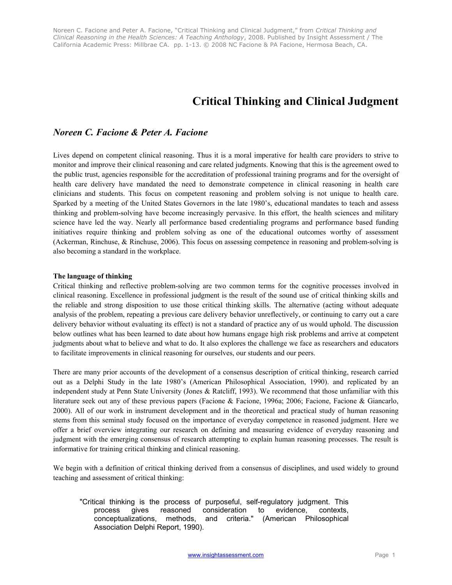# **Critical Thinking and Clinical Judgment**

# *Noreen C. Facione & Peter A. Facione*

Lives depend on competent clinical reasoning. Thus it is a moral imperative for health care providers to strive to monitor and improve their clinical reasoning and care related judgments. Knowing that this is the agreement owed to the public trust, agencies responsible for the accreditation of professional training programs and for the oversight of health care delivery have mandated the need to demonstrate competence in clinical reasoning in health care clinicians and students. This focus on competent reasoning and problem solving is not unique to health care. Sparked by a meeting of the United States Governors in the late 1980's, educational mandates to teach and assess thinking and problem-solving have become increasingly pervasive. In this effort, the health sciences and military science have led the way. Nearly all performance based credentialing programs and performance based funding initiatives require thinking and problem solving as one of the educational outcomes worthy of assessment (Ackerman, Rinchuse, & Rinchuse, 2006). This focus on assessing competence in reasoning and problem-solving is also becoming a standard in the workplace.

## **The language of thinking**

Critical thinking and reflective problem-solving are two common terms for the cognitive processes involved in clinical reasoning. Excellence in professional judgment is the result of the sound use of critical thinking skills and the reliable and strong disposition to use those critical thinking skills. The alternative (acting without adequate analysis of the problem, repeating a previous care delivery behavior unreflectively, or continuing to carry out a care delivery behavior without evaluating its effect) is not a standard of practice any of us would uphold. The discussion below outlines what has been learned to date about how humans engage high risk problems and arrive at competent judgments about what to believe and what to do. It also explores the challenge we face as researchers and educators to facilitate improvements in clinical reasoning for ourselves, our students and our peers.

There are many prior accounts of the development of a consensus description of critical thinking, research carried out as a Delphi Study in the late 1980's (American Philosophical Association, 1990). and replicated by an independent study at Penn State University (Jones & Ratcliff, 1993). We recommend that those unfamiliar with this literature seek out any of these previous papers (Facione & Facione, 1996a; 2006; Facione, Facione & Giancarlo, 2000). All of our work in instrument development and in the theoretical and practical study of human reasoning stems from this seminal study focused on the importance of everyday competence in reasoned judgment. Here we offer a brief overview integrating our research on defining and measuring evidence of everyday reasoning and judgment with the emerging consensus of research attempting to explain human reasoning processes. The result is informative for training critical thinking and clinical reasoning.

We begin with a definition of critical thinking derived from a consensus of disciplines, and used widely to ground teaching and assessment of critical thinking:

"Critical thinking is the process of purposeful, self-regulatory judgment. This process gives reasoned consideration to evidence, contexts, conceptualizations, methods, and criteria." (American Philosophical Association Delphi Report, 1990).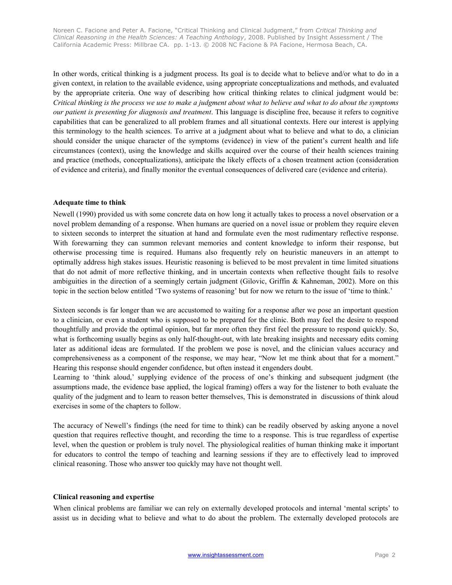In other words, critical thinking is a judgment process. Its goal is to decide what to believe and/or what to do in a given context, in relation to the available evidence, using appropriate conceptualizations and methods, and evaluated by the appropriate criteria. One way of describing how critical thinking relates to clinical judgment would be: *Critical thinking is the process we use to make a judgment about what to believe and what to do about the symptoms our patient is presenting for diagnosis and treatment*. This language is discipline free, because it refers to cognitive capabilities that can be generalized to all problem frames and all situational contexts. Here our interest is applying this terminology to the health sciences. To arrive at a judgment about what to believe and what to do, a clinician should consider the unique character of the symptoms (evidence) in view of the patient's current health and life circumstances (context), using the knowledge and skills acquired over the course of their health sciences training and practice (methods, conceptualizations), anticipate the likely effects of a chosen treatment action (consideration of evidence and criteria), and finally monitor the eventual consequences of delivered care (evidence and criteria).

#### **Adequate time to think**

Newell (1990) provided us with some concrete data on how long it actually takes to process a novel observation or a novel problem demanding of a response. When humans are queried on a novel issue or problem they require eleven to sixteen seconds to interpret the situation at hand and formulate even the most rudimentary reflective response. With forewarning they can summon relevant memories and content knowledge to inform their response, but otherwise processing time is required. Humans also frequently rely on heuristic maneuvers in an attempt to optimally address high stakes issues. Heuristic reasoning is believed to be most prevalent in time limited situations that do not admit of more reflective thinking, and in uncertain contexts when reflective thought fails to resolve ambiguities in the direction of a seemingly certain judgment (Gilovic, Griffin & Kahneman, 2002). More on this topic in the section below entitled 'Two systems of reasoning' but for now we return to the issue of 'time to think.'

Sixteen seconds is far longer than we are accustomed to waiting for a response after we pose an important question to a clinician, or even a student who is supposed to be prepared for the clinic. Both may feel the desire to respond thoughtfully and provide the optimal opinion, but far more often they first feel the pressure to respond quickly. So, what is forthcoming usually begins as only half-thought-out, with late breaking insights and necessary edits coming later as additional ideas are formulated. If the problem we pose is novel, and the clinician values accuracy and comprehensiveness as a component of the response, we may hear, "Now let me think about that for a moment." Hearing this response should engender confidence, but often instead it engenders doubt.

Learning to 'think aloud,' supplying evidence of the process of one's thinking and subsequent judgment (the assumptions made, the evidence base applied, the logical framing) offers a way for the listener to both evaluate the quality of the judgment and to learn to reason better themselves, This is demonstrated in discussions of think aloud exercises in some of the chapters to follow.

The accuracy of Newell's findings (the need for time to think) can be readily observed by asking anyone a novel question that requires reflective thought, and recording the time to a response. This is true regardless of expertise level, when the question or problem is truly novel. The physiological realities of human thinking make it important for educators to control the tempo of teaching and learning sessions if they are to effectively lead to improved clinical reasoning. Those who answer too quickly may have not thought well.

## **Clinical reasoning and expertise**

When clinical problems are familiar we can rely on externally developed protocols and internal 'mental scripts' to assist us in deciding what to believe and what to do about the problem. The externally developed protocols are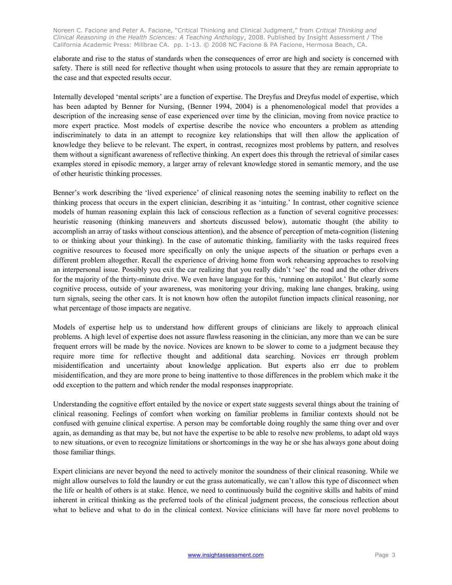elaborate and rise to the status of standards when the consequences of error are high and society is concerned with safety. There is still need for reflective thought when using protocols to assure that they are remain appropriate to the case and that expected results occur.

Internally developed 'mental scripts' are a function of expertise. The Dreyfus and Dreyfus model of expertise, which has been adapted by Benner for Nursing, (Benner 1994, 2004) is a phenomenological model that provides a description of the increasing sense of ease experienced over time by the clinician, moving from novice practice to more expert practice. Most models of expertise describe the novice who encounters a problem as attending indiscriminately to data in an attempt to recognize key relationships that will then allow the application of knowledge they believe to be relevant. The expert, in contrast, recognizes most problems by pattern, and resolves them without a significant awareness of reflective thinking. An expert does this through the retrieval of similar cases examples stored in episodic memory, a larger array of relevant knowledge stored in semantic memory, and the use of other heuristic thinking processes.

Benner's work describing the 'lived experience' of clinical reasoning notes the seeming inability to reflect on the thinking process that occurs in the expert clinician, describing it as 'intuiting.' In contrast, other cognitive science models of human reasoning explain this lack of conscious reflection as a function of several cognitive processes: heuristic reasoning (thinking maneuvers and shortcuts discussed below), automatic thought (the ability to accomplish an array of tasks without conscious attention), and the absence of perception of meta-cognition (listening to or thinking about your thinking). In the case of automatic thinking, familiarity with the tasks required frees cognitive resources to focused more specifically on only the unique aspects of the situation or perhaps even a different problem altogether. Recall the experience of driving home from work rehearsing approaches to resolving an interpersonal issue. Possibly you exit the car realizing that you really didn't 'see' the road and the other drivers for the majority of the thirty-minute drive. We even have language for this, 'running on autopilot.' But clearly some cognitive process, outside of your awareness, was monitoring your driving, making lane changes, braking, using turn signals, seeing the other cars. It is not known how often the autopilot function impacts clinical reasoning, nor what percentage of those impacts are negative.

Models of expertise help us to understand how different groups of clinicians are likely to approach clinical problems. A high level of expertise does not assure flawless reasoning in the clinician, any more than we can be sure frequent errors will be made by the novice. Novices are known to be slower to come to a judgment because they require more time for reflective thought and additional data searching. Novices err through problem misidentification and uncertainty about knowledge application. But experts also err due to problem misidentification, and they are more prone to being inattentive to those differences in the problem which make it the odd exception to the pattern and which render the modal responses inappropriate.

Understanding the cognitive effort entailed by the novice or expert state suggests several things about the training of clinical reasoning. Feelings of comfort when working on familiar problems in familiar contexts should not be confused with genuine clinical expertise. A person may be comfortable doing roughly the same thing over and over again, as demanding as that may be, but not have the expertise to be able to resolve new problems, to adapt old ways to new situations, or even to recognize limitations or shortcomings in the way he or she has always gone about doing those familiar things.

Expert clinicians are never beyond the need to actively monitor the soundness of their clinical reasoning. While we might allow ourselves to fold the laundry or cut the grass automatically, we can't allow this type of disconnect when the life or health of others is at stake. Hence, we need to continuously build the cognitive skills and habits of mind inherent in critical thinking as the preferred tools of the clinical judgment process, the conscious reflection about what to believe and what to do in the clinical context. Novice clinicians will have far more novel problems to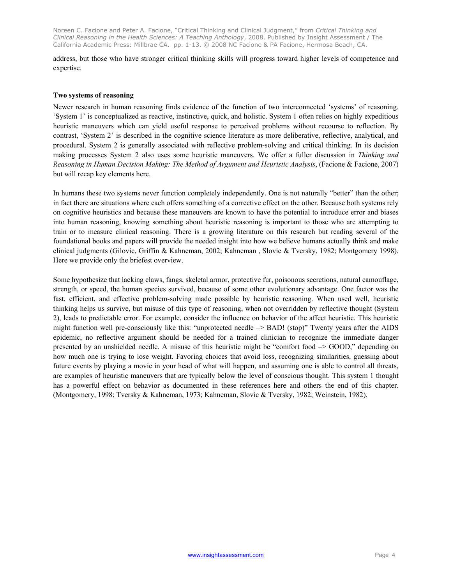address, but those who have stronger critical thinking skills will progress toward higher levels of competence and expertise.

#### **Two systems of reasoning**

Newer research in human reasoning finds evidence of the function of two interconnected 'systems' of reasoning. 'System 1' is conceptualized as reactive, instinctive, quick, and holistic. System 1 often relies on highly expeditious heuristic maneuvers which can yield useful response to perceived problems without recourse to reflection. By contrast, 'System 2' is described in the cognitive science literature as more deliberative, reflective, analytical, and procedural. System 2 is generally associated with reflective problem-solving and critical thinking. In its decision making processes System 2 also uses some heuristic maneuvers. We offer a fuller discussion in *Thinking and Reasoning in Human Decision Making: The Method of Argument and Heuristic Analysis*, (Facione & Facione, 2007) but will recap key elements here.

In humans these two systems never function completely independently. One is not naturally "better" than the other; in fact there are situations where each offers something of a corrective effect on the other. Because both systems rely on cognitive heuristics and because these maneuvers are known to have the potential to introduce error and biases into human reasoning, knowing something about heuristic reasoning is important to those who are attempting to train or to measure clinical reasoning. There is a growing literature on this research but reading several of the foundational books and papers will provide the needed insight into how we believe humans actually think and make clinical judgments (Gilovic, Griffin & Kahneman, 2002; Kahneman , Slovic & Tversky, 1982; Montgomery 1998). Here we provide only the briefest overview.

Some hypothesize that lacking claws, fangs, skeletal armor, protective fur, poisonous secretions, natural camouflage, strength, or speed, the human species survived, because of some other evolutionary advantage. One factor was the fast, efficient, and effective problem-solving made possible by heuristic reasoning. When used well, heuristic thinking helps us survive, but misuse of this type of reasoning, when not overridden by reflective thought (System 2), leads to predictable error. For example, consider the influence on behavior of the affect heuristic. This heuristic might function well pre-consciously like this: "unprotected needle  $\rightarrow$  BAD! (stop)" Twenty years after the AIDS epidemic, no reflective argument should be needed for a trained clinician to recognize the immediate danger presented by an unshielded needle. A misuse of this heuristic might be "comfort food –> GOOD," depending on how much one is trying to lose weight. Favoring choices that avoid loss, recognizing similarities, guessing about future events by playing a movie in your head of what will happen, and assuming one is able to control all threats, are examples of heuristic maneuvers that are typically below the level of conscious thought. This system 1 thought has a powerful effect on behavior as documented in these references here and others the end of this chapter. (Montgomery, 1998; Tversky & Kahneman, 1973; Kahneman, Slovic & Tversky, 1982; Weinstein, 1982).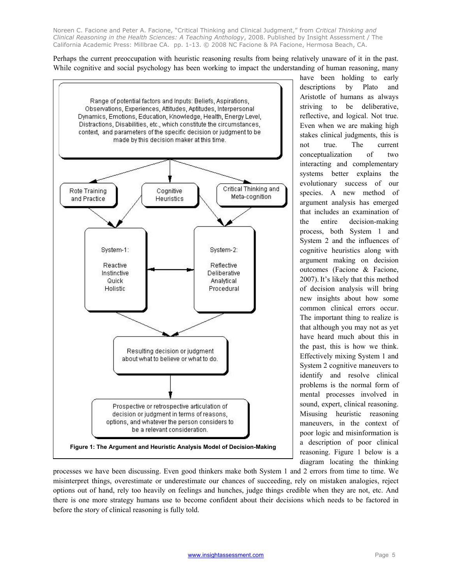Perhaps the current preoccupation with heuristic reasoning results from being relatively unaware of it in the past. While cognitive and social psychology has been working to impact the understanding of human reasoning, many



have been holding to early descriptions by Plato and Aristotle of humans as always striving to be deliberative, reflective, and logical. Not true. Even when we are making high stakes clinical judgments, this is not true. The current conceptualization of two interacting and complementary systems better explains the evolutionary success of our species. A new method of argument analysis has emerged that includes an examination of the entire decision-making process, both System 1 and System 2 and the influences of cognitive heuristics along with argument making on decision outcomes (Facione & Facione, 2007). It's likely that this method of decision analysis will bring new insights about how some common clinical errors occur. The important thing to realize is that although you may not as yet have heard much about this in the past, this is how we think. Effectively mixing System 1 and System 2 cognitive maneuvers to identify and resolve clinical problems is the normal form of mental processes involved in sound, expert, clinical reasoning. Misusing heuristic reasoning maneuvers, in the context of poor logic and misinformation is a description of poor clinical reasoning. Figure 1 below is a diagram locating the thinking

processes we have been discussing. Even good thinkers make both System 1 and 2 errors from time to time. We misinterpret things, overestimate or underestimate our chances of succeeding, rely on mistaken analogies, reject options out of hand, rely too heavily on feelings and hunches, judge things credible when they are not, etc. And there is one more strategy humans use to become confident about their decisions which needs to be factored in before the story of clinical reasoning is fully told.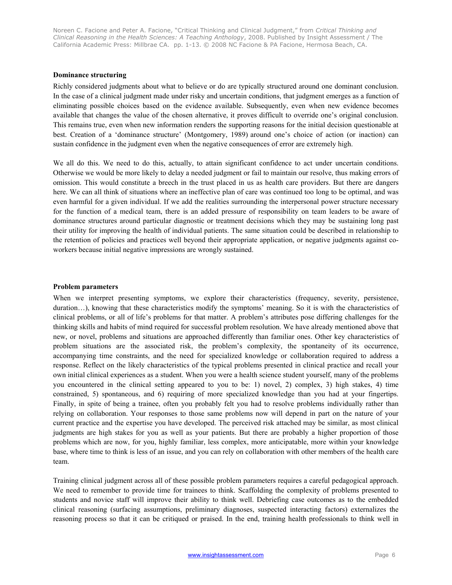#### **Dominance structuring**

Richly considered judgments about what to believe or do are typically structured around one dominant conclusion. In the case of a clinical judgment made under risky and uncertain conditions, that judgment emerges as a function of eliminating possible choices based on the evidence available. Subsequently, even when new evidence becomes available that changes the value of the chosen alternative, it proves difficult to override one's original conclusion. This remains true, even when new information renders the supporting reasons for the initial decision questionable at best. Creation of a 'dominance structure' (Montgomery, 1989) around one's choice of action (or inaction) can sustain confidence in the judgment even when the negative consequences of error are extremely high.

We all do this. We need to do this, actually, to attain significant confidence to act under uncertain conditions. Otherwise we would be more likely to delay a needed judgment or fail to maintain our resolve, thus making errors of omission. This would constitute a breech in the trust placed in us as health care providers. But there are dangers here. We can all think of situations where an ineffective plan of care was continued too long to be optimal, and was even harmful for a given individual. If we add the realities surrounding the interpersonal power structure necessary for the function of a medical team, there is an added pressure of responsibility on team leaders to be aware of dominance structures around particular diagnostic or treatment decisions which they may be sustaining long past their utility for improving the health of individual patients. The same situation could be described in relationship to the retention of policies and practices well beyond their appropriate application, or negative judgments against coworkers because initial negative impressions are wrongly sustained.

#### **Problem parameters**

When we interpret presenting symptoms, we explore their characteristics (frequency, severity, persistence, duration…), knowing that these characteristics modify the symptoms' meaning. So it is with the characteristics of clinical problems, or all of life's problems for that matter. A problem's attributes pose differing challenges for the thinking skills and habits of mind required for successful problem resolution. We have already mentioned above that new, or novel, problems and situations are approached differently than familiar ones. Other key characteristics of problem situations are the associated risk, the problem's complexity, the spontaneity of its occurrence, accompanying time constraints, and the need for specialized knowledge or collaboration required to address a response. Reflect on the likely characteristics of the typical problems presented in clinical practice and recall your own initial clinical experiences as a student. When you were a health science student yourself, many of the problems you encountered in the clinical setting appeared to you to be: 1) novel, 2) complex, 3) high stakes, 4) time constrained, 5) spontaneous, and 6) requiring of more specialized knowledge than you had at your fingertips. Finally, in spite of being a trainee, often you probably felt you had to resolve problems individually rather than relying on collaboration. Your responses to those same problems now will depend in part on the nature of your current practice and the expertise you have developed. The perceived risk attached may be similar, as most clinical judgments are high stakes for you as well as your patients. But there are probably a higher proportion of those problems which are now, for you, highly familiar, less complex, more anticipatable, more within your knowledge base, where time to think is less of an issue, and you can rely on collaboration with other members of the health care team.

Training clinical judgment across all of these possible problem parameters requires a careful pedagogical approach. We need to remember to provide time for trainees to think. Scaffolding the complexity of problems presented to students and novice staff will improve their ability to think well. Debriefing case outcomes as to the embedded clinical reasoning (surfacing assumptions, preliminary diagnoses, suspected interacting factors) externalizes the reasoning process so that it can be critiqued or praised. In the end, training health professionals to think well in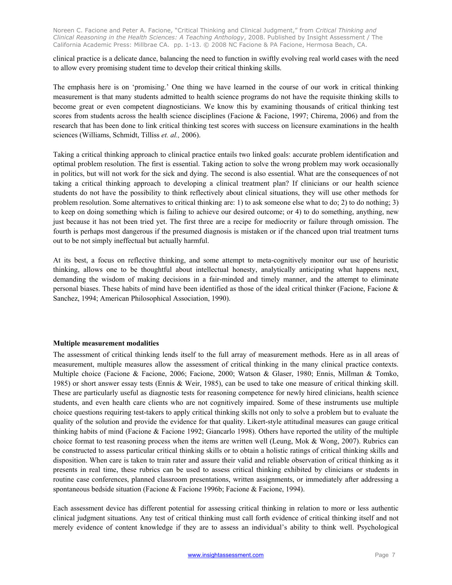clinical practice is a delicate dance, balancing the need to function in swiftly evolving real world cases with the need to allow every promising student time to develop their critical thinking skills.

The emphasis here is on 'promising.' One thing we have learned in the course of our work in critical thinking measurement is that many students admitted to health science programs do not have the requisite thinking skills to become great or even competent diagnosticians. We know this by examining thousands of critical thinking test scores from students across the health science disciplines (Facione & Facione, 1997; Chirema, 2006) and from the research that has been done to link critical thinking test scores with success on licensure examinations in the health sciences (Williams, Schmidt, Tilliss *et. al.,* 2006).

Taking a critical thinking approach to clinical practice entails two linked goals: accurate problem identification and optimal problem resolution. The first is essential. Taking action to solve the wrong problem may work occasionally in politics, but will not work for the sick and dying. The second is also essential. What are the consequences of not taking a critical thinking approach to developing a clinical treatment plan? If clinicians or our health science students do not have the possibility to think reflectively about clinical situations, they will use other methods for problem resolution. Some alternatives to critical thinking are: 1) to ask someone else what to do; 2) to do nothing; 3) to keep on doing something which is failing to achieve our desired outcome; or 4) to do something, anything, new just because it has not been tried yet. The first three are a recipe for mediocrity or failure through omission. The fourth is perhaps most dangerous if the presumed diagnosis is mistaken or if the chanced upon trial treatment turns out to be not simply ineffectual but actually harmful.

At its best, a focus on reflective thinking, and some attempt to meta-cognitively monitor our use of heuristic thinking, allows one to be thoughtful about intellectual honesty, analytically anticipating what happens next, demanding the wisdom of making decisions in a fair-minded and timely manner, and the attempt to eliminate personal biases. These habits of mind have been identified as those of the ideal critical thinker (Facione, Facione & Sanchez, 1994; American Philosophical Association, 1990).

#### **Multiple measurement modalities**

The assessment of critical thinking lends itself to the full array of measurement methods. Here as in all areas of measurement, multiple measures allow the assessment of critical thinking in the many clinical practice contexts. Multiple choice (Facione & Facione, 2006; Facione, 2000; Watson & Glaser, 1980; Ennis, Millman & Tomko, 1985) or short answer essay tests (Ennis & Weir, 1985), can be used to take one measure of critical thinking skill. These are particularly useful as diagnostic tests for reasoning competence for newly hired clinicians, health science students, and even health care clients who are not cognitively impaired. Some of these instruments use multiple choice questions requiring test-takers to apply critical thinking skills not only to solve a problem but to evaluate the quality of the solution and provide the evidence for that quality. Likert-style attitudinal measures can gauge critical thinking habits of mind (Facione & Facione 1992; Giancarlo 1998). Others have reported the utility of the multiple choice format to test reasoning process when the items are written well (Leung, Mok & Wong, 2007). Rubrics can be constructed to assess particular critical thinking skills or to obtain a holistic ratings of critical thinking skills and disposition. When care is taken to train rater and assure their valid and reliable observation of critical thinking as it presents in real time, these rubrics can be used to assess critical thinking exhibited by clinicians or students in routine case conferences, planned classroom presentations, written assignments, or immediately after addressing a spontaneous bedside situation (Facione & Facione 1996b; Facione & Facione, 1994).

Each assessment device has different potential for assessing critical thinking in relation to more or less authentic clinical judgment situations. Any test of critical thinking must call forth evidence of critical thinking itself and not merely evidence of content knowledge if they are to assess an individual's ability to think well. Psychological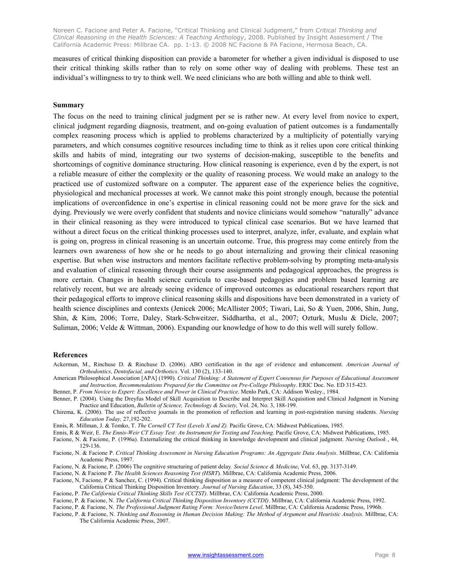measures of critical thinking disposition can provide a barometer for whether a given individual is disposed to use their critical thinking skills rather than to rely on some other way of dealing with problems. These test an individual's willingness to try to think well. We need clinicians who are both willing and able to think well.

#### **Summary**

The focus on the need to training clinical judgment per se is rather new. At every level from novice to expert, clinical judgment regarding diagnosis, treatment, and on-going evaluation of patient outcomes is a fundamentally complex reasoning process which is applied to problems characterized by a multiplicity of potentially varying parameters, and which consumes cognitive resources including time to think as it relies upon core critical thinking skills and habits of mind, integrating our two systems of decision-making, susceptible to the benefits and shortcomings of cognitive dominance structuring. How clinical reasoning is experience, even d by the expert, is not a reliable measure of either the complexity or the quality of reasoning process. We would make an analogy to the practiced use of customized software on a computer. The apparent ease of the experience belies the cognitive, physiological and mechanical processes at work. We cannot make this point strongly enough, because the potential implications of overconfidence in one's expertise in clinical reasoning could not be more grave for the sick and dying. Previously we were overly confident that students and novice clinicians would somehow "naturally" advance in their clinical reasoning as they were introduced to typical clinical case scenarios. But we have learned that without a direct focus on the critical thinking processes used to interpret, analyze, infer, evaluate, and explain what is going on, progress in clinical reasoning is an uncertain outcome. True, this progress may come entirely from the learners own awareness of how she or he needs to go about internalizing and growing their clinical reasoning expertise. But when wise instructors and mentors facilitate reflective problem-solving by prompting meta-analysis and evaluation of clinical reasoning through their course assignments and pedagogical approaches, the progress is more certain. Changes in health science curricula to case-based pedagogies and problem based learning are relatively recent, but we are already seeing evidence of improved outcomes as educational researchers report that their pedagogical efforts to improve clinical reasoning skills and dispositions have been demonstrated in a variety of health science disciplines and contexts (Jenicek 2006; McAllister 2005; Tiwari, Lai, So & Yuen, 2006, Shin, Jung, Shin, & Kim, 2006; Torre, Daley, Stark-Schweitzer, Siddhartha, et al., 2007; Ozturk, Muslu & Dicle, 2007; Suliman, 2006; Velde & Wittman, 2006). Expanding our knowledge of how to do this well will surely follow.

#### **References**

- Ackerman, M., Rinchuse D. & Rinchuse D. (2006). ABO certification in the age of evidence and enhancement. *American Journal of Orthodontics, Dentofacial, and Orthotics*. Vol. 130 (2), 133-140.
- American Philosophical Association [APA] (1990). *Critical Thinking: A Statement of Expert Consensus for Purposes of Educational Assessment and Instruction, Recommendations Prepared for the Committee on Pre-College Philosophy*. ERIC Doc. No. ED 315-423.

Benner, P. *From Novice to Expert: Excellence and Power in Clinical Practice*. Menlo Park, CA: Addison Wesley., 1984*.*

- Benner, P. (2004). Using the Dreyfus Model of Skill Acquisition to Describe and Interpret Skill Acquisition and Clinical Judgment in Nursing Practice and Education, *Bulletin of Science, Technology & Society,* Vol. 24, No. 3, 188-199.
- Chirema, K. (2006). The use of reflective journals in the promotion of reflection and learning in post-registration nursing students. *Nursing Education Today,* 27,192-202.
- Ennis, R. Millman, J. & Tomko, T. *The Cornell CT Test (Levels X and Z).* Pacific Grove, CA: Midwest Publications, 1985.
- Ennis, R & Weir, E. *The Ennis-Weir CT Essay Test: An Instrument for Testing and Teaching*. Pacific Grove, CA: Midwest Publications, 1985.
- Facione, N. & Facione, P. (1996a). Externalizing the critical thinking in knowledge development and clinical judgment. *Nursing Outlook* , 44, 129-136.
- Facione, N. & Facione P. *Critical Thinking Assessment in Nursing Education Programs: An Aggregate Data Analysis*. Millbrae, CA: California Academic Press, 1997.
- Facione, N. & Facione, P. (2006) The cognitive structuring of patient delay*. Social Science & Medicine*, Vol. 63, pp. 3137-3149.
- Facione, N. & Facione P. *The Health Sciences Reasoning Test (HSRT*). Millbrae, CA: California Academic Press, 2006.
- Facione, N, Facione, P & Sanchez, C. (1994). Critical thinking disposition as a measure of competent clinical judgment: The development of the California Critical Thinking Disposition Inventory. *Journal of Nursing Education*, 33 (8), 345-350.
- Facione, P. *The California Critical Thinking Skills Test (CCTST)*. Millbrae, CA: California Academic Press, 2000.
- Facione, P. & Facione, N. *The California Critical Thinking Disposition Inventory (CCTDI)*. Millbrae, CA: California Academic Press, 1992.
- Facione, P. & Facione, N. *The Professional Judgment Rating Form: Novice/Intern Level*. Millbrae, CA: California Academic Press, 1996b.
- Facione, P. & Facione, N. *Thinking and Reasoning in Human Decision Making: The Method of Argument and Heuristic Analysis*. Millbrae, CA: The California Academic Press, 2007.